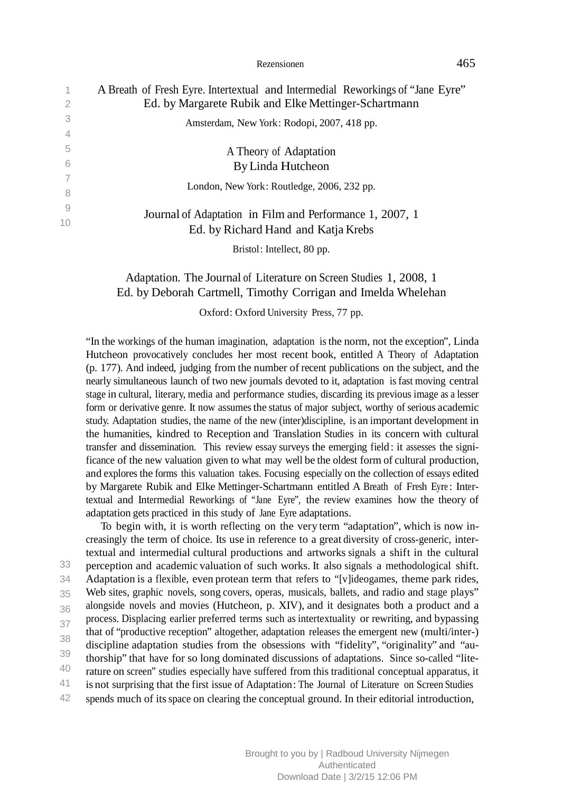| 1<br>2         | A Breath of Fresh Eyre. Intertextual and Intermedial Reworkings of "Jane Eyre"<br>Ed. by Margarete Rubik and Elke Mettinger-Schartmann |
|----------------|----------------------------------------------------------------------------------------------------------------------------------------|
| 3              |                                                                                                                                        |
| $\overline{4}$ | Amsterdam, New York: Rodopi, 2007, 418 pp.                                                                                             |
| 5              | A Theory of Adaptation                                                                                                                 |
| 6              | By Linda Hutcheon                                                                                                                      |
|                | London, New York: Routledge, 2006, 232 pp.                                                                                             |
| -8             |                                                                                                                                        |
| 9              |                                                                                                                                        |
| 10             | Journal of Adaptation in Film and Performance 1, 2007, 1<br>Ed. by Richard Hand and Katja Krebs                                        |
|                | Bristol: Intellect, 80 pp.                                                                                                             |

# Adaptation. The Journal of Literature on Screen Studies 1, 2008, 1 Ed. by Deborah Cartmell, Timothy Corrigan and Imelda Whelehan

Oxford: Oxford University Press, 77 pp.

"In the workings of the human imagination, adaptation isthe norm, not the exception", Linda Hutcheon provocatively concludes her most recent book, entitled A Theory of Adaptation (p. 177). And indeed, judging from the number of recent publications on the subject, and the nearly simultaneous launch of two new journals devoted to it, adaptation isfast moving central stage in cultural, literary, media and performance studies, discarding its previous image as a lesser form or derivative genre. It now assumes the status of major subject, worthy of serious academic study. Adaptation studies, the name of the new (inter)discipline, is an important development in the humanities, kindred to Reception and Translation Studies in its concern with cultural transfer and dissemination. This review essay surveys the emerging field: it assesses the significance of the new valuation given to what may well be the oldest form of cultural production, and explores the forms this valuation takes. Focusing especially on the collection of essays edited by Margarete Rubik and Elke Mettinger-Schartmann entitled A Breath of Fresh Eyre : Intertextual and Intermedial Reworkings of "Jane Eyre", the review examines how the theory of adaptation gets practiced in this study of Jane Eyre adaptations.

spends much of its space on clearing the conceptual ground. In their editorial introduction, 33 34 35 36 37 38 39 40 41 42 To begin with, it is worth reflecting on the very term "adaptation", which is now increasingly the term of choice. Its use in reference to a great diversity of cross-generic, intertextual and intermedial cultural productions and artworks signals a shift in the cultural perception and academic valuation of such works. It also signals a methodological shift. Adaptation is a flexible, even protean term that refers to "[v]ideogames, theme park rides, Web sites, graphic novels, song covers, operas, musicals, ballets, and radio and stage plays" alongside novels and movies (Hutcheon, p. XIV), and it designates both a product and a process. Displacing earlier preferred terms such as intertextuality or rewriting, and bypassing that of "productive reception" altogether, adaptation releases the emergent new (multi/inter-) discipline adaptation studies from the obsessions with "fidelity", "originality" and "authorship" that have for so long dominated discussions of adaptations. Since so-called "literature on screen" studies especially have suffered from this traditional conceptual apparatus, it is not surprising that the first issue of Adaptation: The Journal of Literature on Screen Studies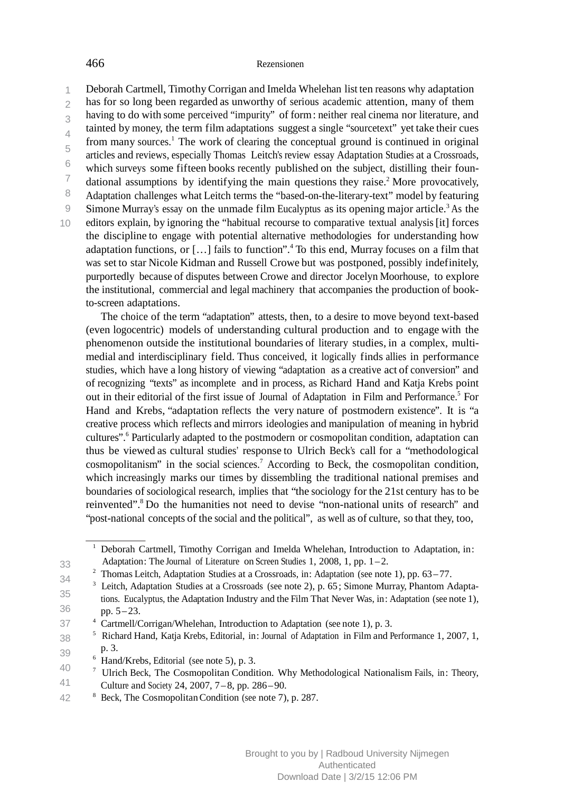Deborah Cartmell, TimothyCorrigan and Imelda Whelehan list ten reasons why adaptation 1

 $\overline{\mathcal{L}}$ has for so long been regarded as unworthy of serious academic attention, many of them

3 having to do with some perceived "impurity" of form: neither real cinema nor literature, and

 $\overline{A}$ tainted by money, the term film adaptations suggest a single "sourcetext" yet take their cues from many sources.<sup>1</sup> The work of clearing the conceptual ground is continued in original

5 6 articles and reviews, especially Thomas Leitch's review essay Adaptation Studies at a Crossroads,

7 which surveys some fifteen books recently published on the subject, distilling their foun-

8 dational assumptions by identifying the main questions they raise.<sup>2</sup> More provocatively, Adaptation challenges what Leitch terms the "based-on-the-literary-text" model by featuring

Simone Murray's essay on the unmade film Eucalyptus as its opening major article. <sup>3</sup> As the

 $1<sub>0</sub>$ editors explain, by ignoring the "habitual recourse to comparative textual analysis [it] forces the discipline to engage with potential alternative methodologies for understanding how adaptation functions, or  $\left[ \ldots \right]$  fails to function".<sup>4</sup> To this end, Murray focuses on a film that was set to star Nicole Kidman and Russell Crowe but was postponed, possibly indefinitely, purportedly because of disputes between Crowe and director Jocelyn Moorhouse, to explore the institutional, commercial and legal machinery that accompanies the production of bookto-screen adaptations.

The choice of the term "adaptation" attests, then, to a desire to move beyond text-based (even logocentric) models of understanding cultural production and to engage with the phenomenon outside the institutional boundaries of literary studies, in a complex, multimedial and interdisciplinary field. Thus conceived, it logically finds allies in performance studies, which have a long history of viewing "adaptation as a creative act of conversion" and of recognizing "texts" as incomplete and in process, as Richard Hand and Katja Krebs point out in their editorial of the first issue of Journal of Adaptation in Film and Performance.<sup>5</sup> For Hand and Krebs, "adaptation reflects the very nature of postmodern existence". It is "a creative process which reflects and mirrors ideologies and manipulation of meaning in hybrid cultures".<sup>6</sup> Particularly adapted to the postmodern or cosmopolitan condition, adaptation can thus be viewed as cultural studies' response to Ulrich Beck's call for a "methodological cosmopolitanism" in the social sciences. 7 According to Beck, the cosmopolitan condition, which increasingly marks our times by dissembling the traditional national premises and boundaries of sociological research, implies that "the sociology for the 21st century has to be reinvented". 8 Do the humanities not need to devise "non-national units of research" and "post-national concepts of the social and the political", as well as of culture, so that they, too,

<sup>2</sup> Thomas Leitch, Adaptation Studies at a Crossroads, in: Adaptation (see note 1), pp.  $63-77$ .

34 35 36 <sup>3</sup> Leitch, Adaptation Studies at a Crossroads (see note 2), p. 65; Simone Murray, Phantom Adaptations. Eucalyptus, the Adaptation Industry and the Film That Never Was, in: Adaptation (see note 1),

pp. 5– 23.

33

 $\overline{Q}$ 

<sup>1</sup> Deborah Cartmell, Timothy Corrigan and Imelda Whelehan, Introduction to Adaptation, in: Adaptation: The Journal of Literature on Screen Studies 1, 2008, 1, pp.  $1-2$ .

<sup>37</sup> Cartmell/Corrigan/Whelehan, Introduction to Adaptation (see note 1), p. 3.

<sup>38</sup> 39 <sup>5</sup> Richard Hand, Katja Krebs, Editorial, in: Journal of Adaptation in Film and Performance 1, 2007, 1, p. 3.

<sup>40</sup>  $6$  Hand/Krebs, Editorial (see note 5), p. 3.

<sup>41</sup> 7 Ulrich Beck, The Cosmopolitan Condition. Why Methodological Nationalism Fails, in: Theory, Culture and Society 24, 2007, 7– 8, pp. 286–90.

<sup>42</sup> Beck, The Cosmopolitan Condition (see note 7), p. 287.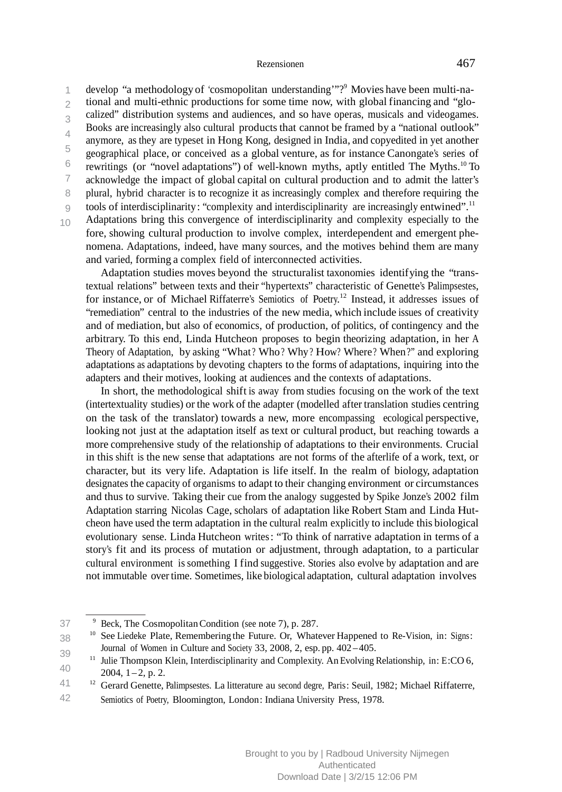develop "a methodology of 'cosmopolitan understanding'"?9 Movies have been multi-na-1  $\mathfrak{D}$ 3  $\overline{A}$ 5 6 7 8  $\overline{Q}$ tional and multi-ethnic productions for some time now, with global financing and "glocalized" distribution systems and audiences, and so have operas, musicals and videogames. Books are increasingly also cultural products that cannot be framed by a "national outlook" anymore, as they are typeset in Hong Kong, designed in India, and copyedited in yet another geographical place, or conceived as a global venture, as for instance Canongate's series of rewritings (or "novel adaptations") of well-known myths, aptly entitled The Myths.10 To acknowledge the impact of global capital on cultural production and to admit the latter's plural, hybrid character is to recognize it as increasingly complex and therefore requiring the tools of interdisciplinarity: "complexity and interdisciplinarity are increasingly entwined".<sup>11</sup> Adaptations bring this convergence of interdisciplinarity and complexity especially to the

10

fore, showing cultural production to involve complex, interdependent and emergent phenomena. Adaptations, indeed, have many sources, and the motives behind them are many and varied, forming a complex field of interconnected activities.

Adaptation studies moves beyond the structuralist taxonomies identifying the "transtextual relations" between texts and their "hypertexts" characteristic of Genette's Palimpsestes, for instance, or of Michael Riffaterre's Semiotics of Poetry. <sup>12</sup> Instead, it addresses issues of "remediation" central to the industries of the new media, which include issues of creativity and of mediation, but also of economics, of production, of politics, of contingency and the arbitrary. To this end, Linda Hutcheon proposes to begin theorizing adaptation, in her A Theory of Adaptation, by asking "What ? Who? Why? How? Where? When?" and exploring adaptations as adaptations by devoting chapters to the forms of adaptations, inquiring into the adapters and their motives, looking at audiences and the contexts of adaptations.

In short, the methodological shift is away from studies focusing on the work of the text (intertextuality studies) or the work of the adapter (modelled after translation studies centring on the task of the translator) towards a new, more encompassing ecological perspective, looking not just at the adaptation itself as text or cultural product, but reaching towards a more comprehensive study of the relationship of adaptations to their environments. Crucial in this shift is the new sense that adaptations are not forms of the afterlife of a work, text, or character, but its very life. Adaptation is life itself. In the realm of biology, adaptation designates the capacity of organisms to adapt to their changing environment or circumstances and thus to survive. Taking their cue from the analogy suggested by Spike Jonze's 2002 film Adaptation starring Nicolas Cage, scholars of adaptation like Robert Stam and Linda Hutcheon have used the term adaptation in the cultural realm explicitly to include this biological evolutionary sense. Linda Hutcheon writes: "To think of narrative adaptation in terms of a story's fit and its process of mutation or adjustment, through adaptation, to a particular cultural environment is something I find suggestive. Stories also evolve by adaptation and are not immutable over time. Sometimes, like biological adaptation, cultural adaptation involves

<sup>37</sup> Beck, The Cosmopolitan Condition (see note 7), p. 287.

<sup>38</sup> 39 <sup>10</sup> See Liedeke Plate, Remembering the Future. Or, Whatever Happened to Re-Vision, in: Signs: Journal of Women in Culture and Society 33, 2008, 2, esp. pp. 402 –405.

<sup>40</sup> <sup>11</sup> Julie Thompson Klein, Interdisciplinarity and Complexity. An Evolving Relationship, in: E:CO 6,  $2004, 1 - 2, p. 2.$ 

Semiotics of Poetry, Bloomington, London: Indiana University Press, 1978. 41 42 <sup>12</sup> Gerard Genette, Palimpsestes. La litterature au second degre, Paris: Seuil, 1982; Michael Riffaterre,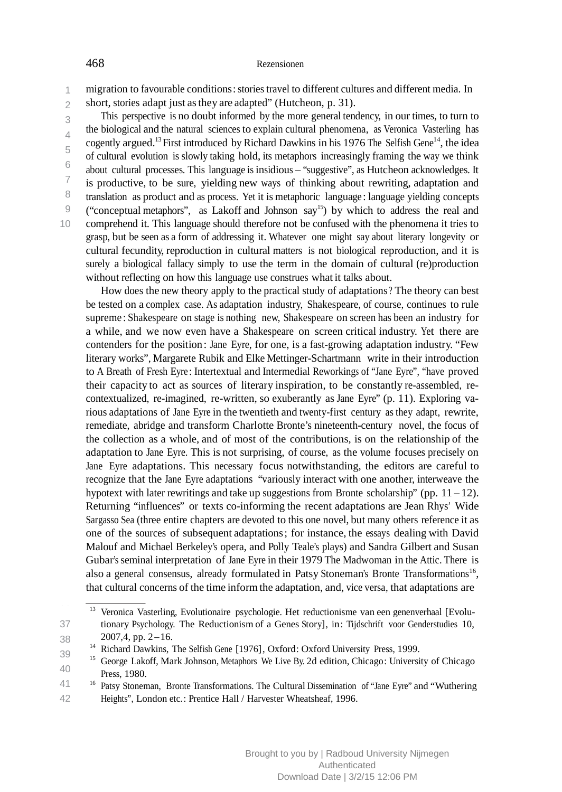migration to favourable conditions: stories travel to different cultures and different media. In 1

 $\overline{2}$ short, stories adapt just as they are adapted" (Hutcheon, p. 31).

3  $\Delta$ 5 6 7 8 9 10 This perspective is no doubt informed by the more general tendency, in our times, to turn to the biological and the natural sciences to explain cultural phenomena, as Veronica Vasterling has cogently argued.<sup>13</sup> First introduced by Richard Dawkins in his 1976 The Selfish Gene<sup>14</sup>, the idea of cultural evolution is slowly taking hold, its metaphors increasingly framing the way we think about cultural processes. This language is insidious – "suggestive", as Hutcheon acknowledges. It is productive, to be sure, yielding new ways of thinking about rewriting, adaptation and translation as product and as process. Yet it is metaphoric language : language yielding concepts ("conceptual metaphors", as Lakoff and Johnson  $\text{say}^{15}$ ) by which to address the real and comprehend it. This language should therefore not be confused with the phenomena it tries to grasp, but be seen as a form of addressing it. Whatever one might say about literary longevity or cultural fecundity, reproduction in cultural matters is not biological reproduction, and it is surely a biological fallacy simply to use the term in the domain of cultural (re)production without reflecting on how this language use construes what it talks about.

How does the new theory apply to the practical study of adaptations ? The theory can best be tested on a complex case. As adaptation industry, Shakespeare, of course, continues to rule supreme : Shakespeare on stage is nothing new, Shakespeare on screen has been an industry for a while, and we now even have a Shakespeare on screen critical industry. Yet there are contenders for the position: Jane Eyre, for one, is a fast-growing adaptation industry. "Few literary works", Margarete Rubik and Elke Mettinger-Schartmann write in their introduction to A Breath of Fresh Eyre : Intertextual and Intermedial Reworkings of "Jane Eyre", "have proved their capacity to act as sources of literary inspiration, to be constantly re-assembled, recontextualized, re-imagined, re-written, so exuberantly as Jane Eyre" (p. 11). Exploring various adaptations of Jane Eyre in the twentieth and twenty-first century as they adapt, rewrite, remediate, abridge and transform Charlotte Bronte's nineteenth-century novel, the focus of the collection as a whole, and of most of the contributions, is on the relationship of the adaptation to Jane Eyre. This is not surprising, of course, as the volume focuses precisely on Jane Eyre adaptations. This necessary focus notwithstanding, the editors are careful to recognize that the Jane Eyre adaptations "variously interact with one another, interweave the hypotext with later rewritings and take up suggestions from Bronte scholarship" (pp.  $11 - 12$ ). Returning "influences" or texts co-informing the recent adaptations are Jean Rhys' Wide Sargasso Sea (three entire chapters are devoted to this one novel, but many others reference it as one of the sources of subsequent adaptations; for instance, the essays dealing with David Malouf and Michael Berkeley's opera, and Polly Teale's plays) and Sandra Gilbert and Susan Gubar's seminal interpretation of Jane Eyre in their 1979 The Madwoman in the Attic. There is also a general consensus, already formulated in Patsy Stoneman's Bronte Transformations<sup>16</sup>, that cultural concerns of the time informthe adaptation, and, vice versa, that adaptations are

38 39

<sup>37</sup> <sup>13</sup> Veronica Vasterling, Evolutionaire psychologie. Het reductionisme van een genenverhaal [Evolutionary Psychology. The Reductionism of a Genes Story], in: Tijdschrift voor Genderstudies 10,  $2007,4$ , pp.  $2-16$ .

<sup>14</sup> Richard Dawkins, The Selfish Gene [1976], Oxford: Oxford University Press, 1999.

<sup>40</sup> <sup>15</sup> George Lakoff, Mark Johnson, Metaphors We Live By. 2d edition, Chicago: University of Chicago Press, 1980.

<sup>41</sup> 42 <sup>16</sup> Patsy Stoneman, Bronte Transformations. The Cultural Dissemination of "Jane Eyre" and "Wuthering Heights", London etc.: Prentice Hall / Harvester Wheatsheaf, 1996.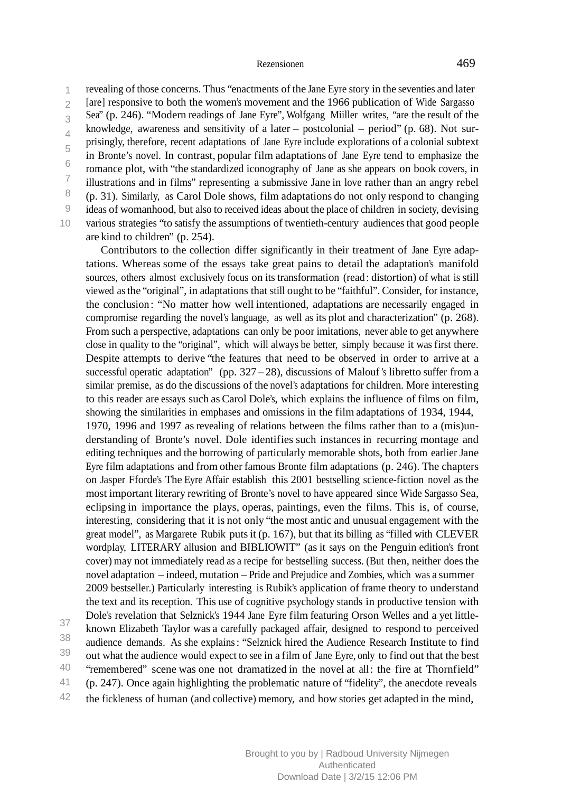revealing of those concerns. Thus "enactments of the Jane Eyre story in the seventies and later 1  $\overline{\mathcal{L}}$ 3  $\overline{A}$ 5 6 7 8  $\overline{Q}$  $1<sub>0</sub>$ [are] responsive to both the women's movement and the 1966 publication of Wide Sargasso Sea" (p. 246). "Modern readings of Jane Eyre", Wolfgang Miiller writes, "are the result of the knowledge, awareness and sensitivity of a later – postcolonial – period" (p. 68). Not surprisingly, therefore, recent adaptations of Jane Eyre include explorations of a colonial subtext in Bronte's novel. In contrast, popular film adaptations of Jane Eyre tend to emphasize the romance plot, with "the standardized iconography of Jane as she appears on book covers, in illustrations and in films" representing a submissive Jane in love rather than an angry rebel (p. 31). Similarly, as Carol Dole shows, film adaptations do not only respond to changing ideas of womanhood, but also to received ideas about the place of children in society, devising various strategies "to satisfy the assumptions of twentieth-century audiences that good people are kind to children" (p. 254).

Contributors to the collection differ significantly in their treatment of Jane Eyre adaptations. Whereas some of the essays take great pains to detail the adaptation's manifold sources, others almost exclusively focus on its transformation (read: distortion) of what is still viewed asthe "original", in adaptations that still ought to be "faithful". Consider, for instance, the conclusion : "No matter how well intentioned, adaptations are necessarily engaged in compromise regarding the novel's language, as well as its plot and characterization" (p. 268). From such a perspective, adaptations can only be poor imitations, never able to get anywhere close in quality to the "original", which will always be better, simply because it was first there. Despite attempts to derive "the features that need to be observed in order to arrive at a successful operatic adaptation" (pp.  $327 - 28$ ), discussions of Malouf's libretto suffer from a similar premise, as do the discussions of the novel's adaptations for children. More interesting to this reader are essays such as Carol Dole's, which explains the influence of films on film, showing the similarities in emphases and omissions in the film adaptations of 1934, 1944, 1970, 1996 and 1997 as revealing of relations between the films rather than to a (mis)understanding of Bronte's novel. Dole identifies such instances in recurring montage and editing techniques and the borrowing of particularly memorable shots, both from earlier Jane Eyre film adaptations and from other famous Bronte film adaptations (p. 246). The chapters on Jasper Fforde's The Eyre Affair establish this 2001 bestselling science-fiction novel asthe most important literary rewriting of Bronte's novel to have appeared since Wide Sargasso Sea, eclipsing in importance the plays, operas, paintings, even the films. This is, of course, interesting, considering that it is not only "the most antic and unusual engagement with the great model", as Margarete Rubik putsit (p. 167), but that its billing as "filled with CLEVER wordplay, LITERARY allusion and BIBLIOWIT" (as it says on the Penguin edition's front cover) may not immediately read as a recipe for bestselling success. (But then, neither does the novel adaptation – indeed, mutation – Pride and Prejudice and Zombies, which was a summer 2009 bestseller.) Particularly interesting is Rubik's application of frame theory to understand the text and its reception. This use of cognitive psychology stands in productive tension with Dole's revelation that Selznick's 1944 Jane Eyre film featuring Orson Welles and a yet littleknown Elizabeth Taylor was a carefully packaged affair, designed to respond to perceived audience demands. As she explains: "Selznick hired the Audience Research Institute to find out what the audience would expect to see in a film of Jane Eyre, only to find out that the best "remembered" scene was one not dramatized in the novel at all: the fire at Thornfield" (p. 247). Once again highlighting the problematic nature of "fidelity", the anecdote reveals

the fickleness of human (and collective) memory, and how stories get adapted in the mind, 42